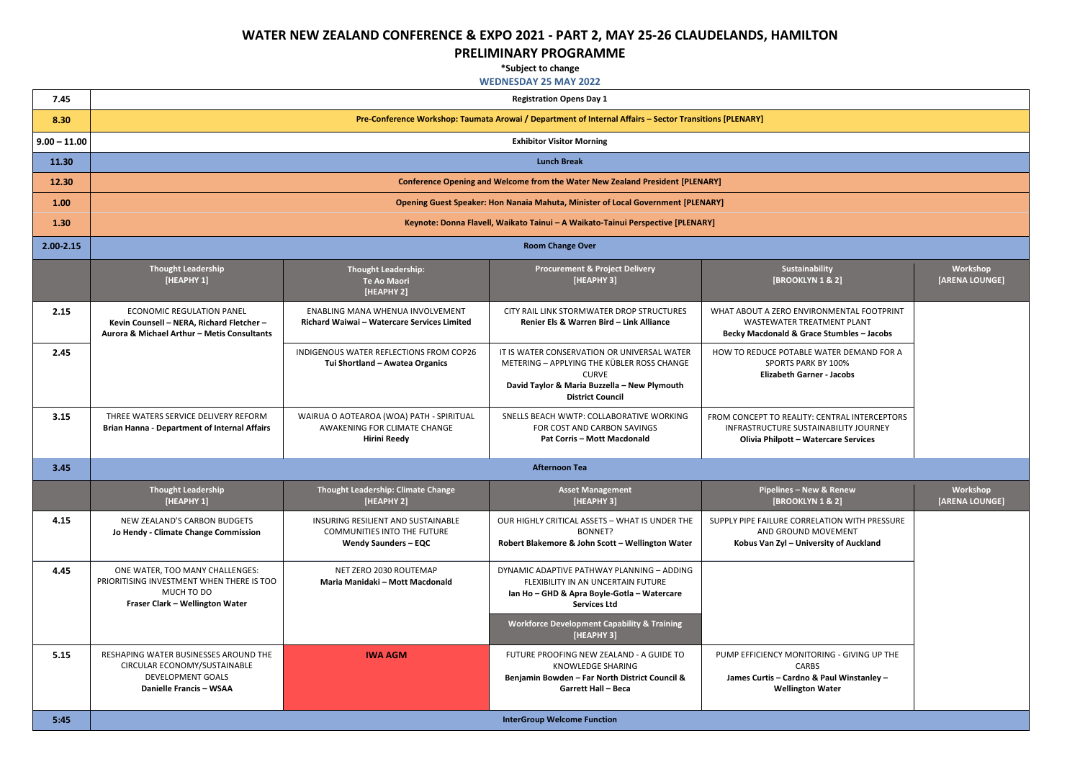## **WATER NEW ZEALAND CONFERENCE & EXPO 2021 - PART 2, MAY 25-26 CLAUDELANDS, HAMILTON**

## **PRELIMINARY PROGRAMME**

**\*Subject to change**

## **WEDNESDAY 25 MAY 2022**

| <b>pility</b><br>18.2                                                       | Workshop<br>[ARENA LOUNGE] |
|-----------------------------------------------------------------------------|----------------------------|
| <b>ONMENTAL FOOTPRINT</b><br><b>ITMENT PLANT</b><br>e Stumbles - Jacobs     |                            |
| WATER DEMAND FOR A<br>BY 100%<br>er - Jacobs                                |                            |
| <b>CENTRAL INTERCEPTORS</b><br><b>INABILITY JOURNEY</b><br>tercare Services |                            |
|                                                                             |                            |
| v & Renew<br>18.2                                                           | Workshop<br>[ARENA LOUNGE] |
| LATION WITH PRESSURE<br><b>IOVEMENT</b><br>rsity of Auckland                |                            |
|                                                                             |                            |
|                                                                             |                            |
| RING - GIVING UP THE                                                        |                            |
| S<br>Paul Winstanley -<br>Water                                             |                            |
|                                                                             |                            |

| 7.45           | <b>Registration Opens Day 1</b>                                                                                                     |                                                                                                         |                                                                                                                                                                                                                                |                                                                                                                                        |  |
|----------------|-------------------------------------------------------------------------------------------------------------------------------------|---------------------------------------------------------------------------------------------------------|--------------------------------------------------------------------------------------------------------------------------------------------------------------------------------------------------------------------------------|----------------------------------------------------------------------------------------------------------------------------------------|--|
| 8.30           | Pre-Conference Workshop: Taumata Arowai / Department of Internal Affairs - Sector Transitions [PLENARY]                             |                                                                                                         |                                                                                                                                                                                                                                |                                                                                                                                        |  |
| $9.00 - 11.00$ | <b>Exhibitor Visitor Morning</b>                                                                                                    |                                                                                                         |                                                                                                                                                                                                                                |                                                                                                                                        |  |
| 11.30          | <b>Lunch Break</b>                                                                                                                  |                                                                                                         |                                                                                                                                                                                                                                |                                                                                                                                        |  |
| 12.30          |                                                                                                                                     |                                                                                                         | <b>Conference Opening and Welcome from the Water New Zealand President [PLENARY]</b>                                                                                                                                           |                                                                                                                                        |  |
| 1.00           |                                                                                                                                     |                                                                                                         | <b>Opening Guest Speaker: Hon Nanaia Mahuta, Minister of Local Government [PLENARY]</b>                                                                                                                                        |                                                                                                                                        |  |
| 1.30           |                                                                                                                                     |                                                                                                         | Keynote: Donna Flavell, Waikato Tainui - A Waikato-Tainui Perspective [PLENARY]                                                                                                                                                |                                                                                                                                        |  |
| $2.00 - 2.15$  |                                                                                                                                     |                                                                                                         | <b>Room Change Over</b>                                                                                                                                                                                                        |                                                                                                                                        |  |
|                | <b>Thought Leadership</b><br>[HEAPHY 1]                                                                                             | <b>Thought Leadership:</b><br><b>Te Ao Maori</b><br>[HEAPHY 2]                                          | <b>Procurement &amp; Project Delivery</b><br>[HEAPHY 3]                                                                                                                                                                        | Sustainability<br>[BROOKLYN 1 & 2]                                                                                                     |  |
| 2.15           | <b>ECONOMIC REGULATION PANEL</b><br>Kevin Counsell - NERA, Richard Fletcher -<br>Aurora & Michael Arthur - Metis Consultants        | <b>ENABLING MANA WHENUA INVOLVEMENT</b><br>Richard Waiwai - Watercare Services Limited                  | CITY RAIL LINK STORMWATER DROP STRUCTURES<br>Renier Els & Warren Bird - Link Alliance                                                                                                                                          | WHAT ABOUT A ZERO ENVIRONMENTAL FOOTPRINT<br><b>WASTEWATER TREATMENT PLANT</b><br><b>Becky Macdonald &amp; Grace Stumbles - Jacobs</b> |  |
| 2.45           |                                                                                                                                     | INDIGENOUS WATER REFLECTIONS FROM COP26<br>Tui Shortland - Awatea Organics                              | IT IS WATER CONSERVATION OR UNIVERSAL WATER<br>METERING - APPLYING THE KÜBLER ROSS CHANGE<br><b>CURVE</b><br>David Taylor & Maria Buzzella - New Plymouth<br><b>District Council</b>                                           | HOW TO REDUCE POTABLE WATER DEMAND FOR A<br><b>SPORTS PARK BY 100%</b><br><b>Elizabeth Garner - Jacobs</b>                             |  |
| 3.15           | THREE WATERS SERVICE DELIVERY REFORM<br><b>Brian Hanna - Department of Internal Affairs</b>                                         | WAIRUA O AOTEAROA (WOA) PATH - SPIRITUAL<br>AWAKENING FOR CLIMATE CHANGE<br><b>Hirini Reedy</b>         | SNELLS BEACH WWTP: COLLABORATIVE WORKING<br>FOR COST AND CARBON SAVINGS<br><b>Pat Corris - Mott Macdonald</b>                                                                                                                  | FROM CONCEPT TO REALITY: CENTRAL INTERCEPTORS<br>INFRASTRUCTURE SUSTAINABILITY JOURNEY<br><b>Olivia Philpott - Watercare Services</b>  |  |
| 3.45           | <b>Afternoon Tea</b>                                                                                                                |                                                                                                         |                                                                                                                                                                                                                                |                                                                                                                                        |  |
|                | <b>Thought Leadership</b><br>[HEAPHY 1]                                                                                             | <b>Thought Leadership: Climate Change</b><br>[HEAPHY 2]                                                 | <b>Asset Management</b><br>[HEAPHY 3]                                                                                                                                                                                          | <b>Pipelines - New &amp; Renew</b><br>[BROOKLYN 1 & 2]                                                                                 |  |
| 4.15           | NEW ZEALAND'S CARBON BUDGETS<br>Jo Hendy - Climate Change Commission                                                                | <b>INSURING RESILIENT AND SUSTAINABLE</b><br>COMMUNITIES INTO THE FUTURE<br><b>Wendy Saunders - EQC</b> | OUR HIGHLY CRITICAL ASSETS - WHAT IS UNDER THE<br>BONNET?<br>Robert Blakemore & John Scott - Wellington Water                                                                                                                  | SUPPLY PIPE FAILURE CORRELATION WITH PRESSURE<br>AND GROUND MOVEMENT<br>Kobus Van Zyl - University of Auckland                         |  |
| 4.45           | ONE WATER, TOO MANY CHALLENGES:<br>PRIORITISING INVESTMENT WHEN THERE IS TOO<br>MUCH TO DO<br>Fraser Clark - Wellington Water       | NET ZERO 2030 ROUTEMAP<br>Maria Manidaki - Mott Macdonald                                               | DYNAMIC ADAPTIVE PATHWAY PLANNING - ADDING<br>FLEXIBILITY IN AN UNCERTAIN FUTURE<br>Ian Ho - GHD & Apra Boyle-Gotla - Watercare<br><b>Services Ltd</b><br><b>Workforce Development Capability &amp; Training</b><br>[HEAPHY 3] |                                                                                                                                        |  |
| 5.15           | RESHAPING WATER BUSINESSES AROUND THE<br>CIRCULAR ECONOMY/SUSTAINABLE<br><b>DEVELOPMENT GOALS</b><br><b>Danielle Francis - WSAA</b> | <b>IWA AGM</b>                                                                                          | FUTURE PROOFING NEW ZEALAND - A GUIDE TO<br>KNOWLEDGE SHARING<br>Benjamin Bowden - Far North District Council &<br><b>Garrett Hall - Beca</b>                                                                                  | PUMP EFFICIENCY MONITORING - GIVING UP THE<br><b>CARBS</b><br>James Curtis - Cardno & Paul Winstanley -<br><b>Wellington Water</b>     |  |
| 5:45           |                                                                                                                                     |                                                                                                         | <b>InterGroup Welcome Function</b>                                                                                                                                                                                             |                                                                                                                                        |  |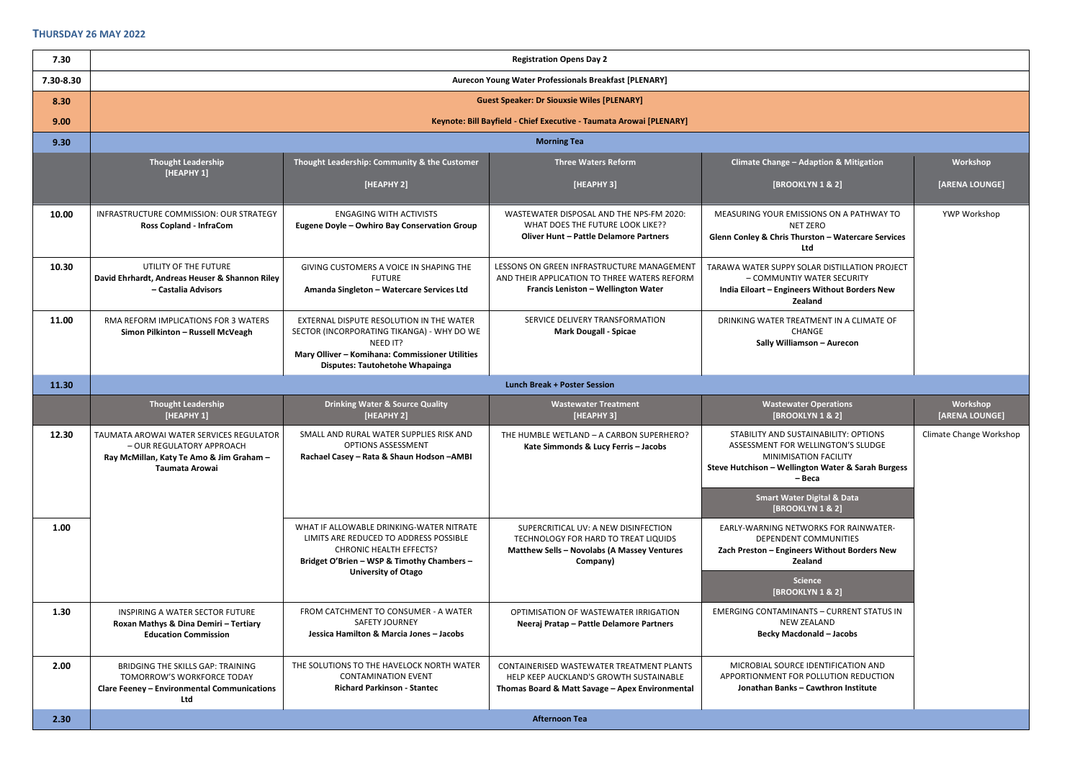| 7.30      | <b>Registration Opens Day 2</b>                                                                                                     |                                                                                                                                                                                                 |                                                                                                                                         |                                                                                                                                                                             |                            |  |
|-----------|-------------------------------------------------------------------------------------------------------------------------------------|-------------------------------------------------------------------------------------------------------------------------------------------------------------------------------------------------|-----------------------------------------------------------------------------------------------------------------------------------------|-----------------------------------------------------------------------------------------------------------------------------------------------------------------------------|----------------------------|--|
| 7.30-8.30 | Aurecon Young Water Professionals Breakfast [PLENARY]                                                                               |                                                                                                                                                                                                 |                                                                                                                                         |                                                                                                                                                                             |                            |  |
| 8.30      |                                                                                                                                     |                                                                                                                                                                                                 | <b>Guest Speaker: Dr Siouxsie Wiles [PLENARY]</b>                                                                                       |                                                                                                                                                                             |                            |  |
| 9.00      |                                                                                                                                     |                                                                                                                                                                                                 | Keynote: Bill Bayfield - Chief Executive - Taumata Arowai [PLENARY]                                                                     |                                                                                                                                                                             |                            |  |
| 9.30      |                                                                                                                                     |                                                                                                                                                                                                 | <b>Morning Tea</b>                                                                                                                      |                                                                                                                                                                             |                            |  |
|           | <b>Thought Leadership</b><br>[HEAPHY 1]                                                                                             | Thought Leadership: Community & the Customer                                                                                                                                                    | <b>Three Waters Reform</b>                                                                                                              | <b>Climate Change - Adaption &amp; Mitigation</b>                                                                                                                           | Workshop                   |  |
|           |                                                                                                                                     | [HEAPHY 2]                                                                                                                                                                                      | [HEAPHY 3]                                                                                                                              | [BROOKLYN 1 & 2]                                                                                                                                                            | [ARENA LOUNGE]             |  |
| 10.00     | INFRASTRUCTURE COMMISSION: OUR STRATEGY<br><b>Ross Copland - InfraCom</b>                                                           | <b>ENGAGING WITH ACTIVISTS</b><br>Eugene Doyle - Owhiro Bay Conservation Group                                                                                                                  | WASTEWATER DISPOSAL AND THE NPS-FM 2020:<br>WHAT DOES THE FUTURE LOOK LIKE??<br><b>Oliver Hunt - Pattle Delamore Partners</b>           | MEASURING YOUR EMISSIONS ON A PATHWAY TO<br>NET ZERO<br>Glenn Conley & Chris Thurston - Watercare Services<br>Ltd                                                           | YWP Workshop               |  |
| 10.30     | UTILITY OF THE FUTURE<br>David Ehrhardt, Andreas Heuser & Shannon Riley<br>- Castalia Advisors                                      | GIVING CUSTOMERS A VOICE IN SHAPING THE<br><b>FUTURE</b><br>Amanda Singleton - Watercare Services Ltd                                                                                           | LESSONS ON GREEN INFRASTRUCTURE MANAGEMENT<br>AND THEIR APPLICATION TO THREE WATERS REFORM<br>Francis Leniston - Wellington Water       | TARAWA WATER SUPPY SOLAR DISTILLATION PROJECT<br>- COMMUNTIY WATER SECURITY<br>India Eiloart - Engineers Without Borders New<br>Zealand                                     |                            |  |
| 11.00     | RMA REFORM IMPLICATIONS FOR 3 WATERS<br>Simon Pilkinton - Russell McVeagh                                                           | EXTERNAL DISPUTE RESOLUTION IN THE WATER<br>SECTOR (INCORPORATING TIKANGA) - WHY DO WE<br>NEED IT?<br>Mary Olliver - Komihana: Commissioner Utilities<br><b>Disputes: Tautohetohe Whapainga</b> | SERVICE DELIVERY TRANSFORMATION<br><b>Mark Dougall - Spicae</b>                                                                         | DRINKING WATER TREATMENT IN A CLIMATE OF<br>CHANGE<br>Sally Williamson - Aurecon                                                                                            |                            |  |
| 11.30     |                                                                                                                                     |                                                                                                                                                                                                 | <b>Lunch Break + Poster Session</b>                                                                                                     |                                                                                                                                                                             |                            |  |
|           |                                                                                                                                     |                                                                                                                                                                                                 |                                                                                                                                         |                                                                                                                                                                             |                            |  |
|           | <b>Thought Leadership</b><br>[HEAPHY 1]                                                                                             | <b>Drinking Water &amp; Source Quality</b><br>[HEAPHY 2]                                                                                                                                        | <b>Wastewater Treatment</b><br>[HEAPHY 3]                                                                                               | <b>Wastewater Operations</b><br>[BROOKLYN 1 & 2]                                                                                                                            | Workshop<br>[ARENA LOUNGE] |  |
| 12.30     | TAUMATA AROWAI WATER SERVICES REGULATOR<br>- OUR REGULATORY APPROACH<br>Ray McMillan, Katy Te Amo & Jim Graham -<br>Taumata Arowai  | SMALL AND RURAL WATER SUPPLIES RISK AND<br><b>OPTIONS ASSESSMENT</b><br>Rachael Casey - Rata & Shaun Hodson - AMBI                                                                              | THE HUMBLE WETLAND - A CARBON SUPERHERO?<br>Kate Simmonds & Lucy Ferris - Jacobs                                                        | STABILITY AND SUSTAINABILITY: OPTIONS<br>ASSESSMENT FOR WELLINGTON'S SLUDGE<br><b>MINIMISATION FACILITY</b><br>Steve Hutchison - Wellington Water & Sarah Burgess<br>– Beca | Climate Change Workshop    |  |
|           |                                                                                                                                     |                                                                                                                                                                                                 |                                                                                                                                         | <b>Smart Water Digital &amp; Data</b><br>[BROOKLYN 1 & 2]                                                                                                                   |                            |  |
| 1.00      |                                                                                                                                     | WHAT IF ALLOWABLE DRINKING-WATER NITRATE<br>LIMITS ARE REDUCED TO ADDRESS POSSIBLE<br><b>CHRONIC HEALTH EFFECTS?</b><br>Bridget O'Brien - WSP & Timothy Chambers -                              | SUPERCRITICAL UV: A NEW DISINFECTION<br>TECHNOLOGY FOR HARD TO TREAT LIQUIDS<br>Matthew Sells - Novolabs (A Massey Ventures<br>Company) | EARLY-WARNING NETWORKS FOR RAINWATER-<br>DEPENDENT COMMUNITIES<br>Zach Preston - Engineers Without Borders New<br><b>Zealand</b>                                            |                            |  |
|           |                                                                                                                                     | <b>University of Otago</b>                                                                                                                                                                      |                                                                                                                                         | <b>Science</b><br>[BROOKLYN 1 & 2]                                                                                                                                          |                            |  |
| 1.30      | INSPIRING A WATER SECTOR FUTURE<br>Roxan Mathys & Dina Demiri - Tertiary<br><b>Education Commission</b>                             | FROM CATCHMENT TO CONSUMER - A WATER<br><b>SAFETY JOURNEY</b><br>Jessica Hamilton & Marcia Jones - Jacobs                                                                                       | OPTIMISATION OF WASTEWATER IRRIGATION<br>Neeraj Pratap - Pattle Delamore Partners                                                       | <b>EMERGING CONTAMINANTS - CURRENT STATUS IN</b><br><b>NEW ZEALAND</b><br><b>Becky Macdonald - Jacobs</b>                                                                   |                            |  |
| 2.00      | <b>BRIDGING THE SKILLS GAP: TRAINING</b><br>TOMORROW'S WORKFORCE TODAY<br><b>Clare Feeney - Environmental Communications</b><br>Ltd | THE SOLUTIONS TO THE HAVELOCK NORTH WATER<br><b>CONTAMINATION EVENT</b><br><b>Richard Parkinson - Stantec</b>                                                                                   | CONTAINERISED WASTEWATER TREATMENT PLANTS<br>HELP KEEP AUCKLAND'S GROWTH SUSTAINABLE<br>Thomas Board & Matt Savage - Apex Environmental | MICROBIAL SOURCE IDENTIFICATION AND<br>APPORTIONMENT FOR POLLUTION REDUCTION<br>Jonathan Banks - Cawthron Institute                                                         |                            |  |